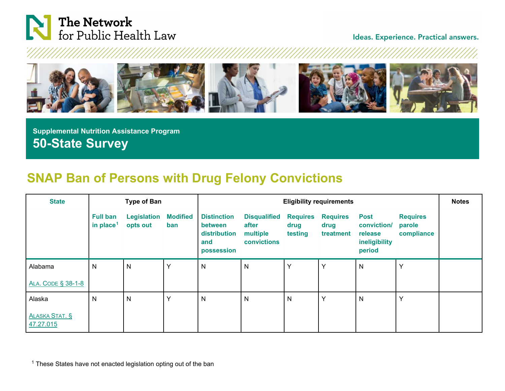

<span id="page-0-0"></span>Ideas. Experience. Practical answers.



 **Supplemental Nutrition Assistance Program 50-State Survey**

## **SNAP Ban of Persons with Drug Felony Convictions**

| <b>State</b>                       |                                          | <b>Type of Ban</b>             |                        |                                                                           | <b>Eligibility requirements</b>                         |                                    |                                      |                                                                  |                                         |  |
|------------------------------------|------------------------------------------|--------------------------------|------------------------|---------------------------------------------------------------------------|---------------------------------------------------------|------------------------------------|--------------------------------------|------------------------------------------------------------------|-----------------------------------------|--|
|                                    | <b>Full ban</b><br>in place <sup>1</sup> | <b>Legislation</b><br>opts out | <b>Modified</b><br>ban | <b>Distinction</b><br><b>between</b><br>distribution<br>and<br>possession | <b>Disqualified</b><br>after<br>multiple<br>convictions | <b>Requires</b><br>drug<br>testing | <b>Requires</b><br>drug<br>treatment | <b>Post</b><br>conviction/<br>release<br>ineligibility<br>period | <b>Requires</b><br>parole<br>compliance |  |
| Alabama                            | $\mathsf{N}$                             | N                              | Y                      | N                                                                         | N                                                       | Y                                  | Y                                    | $\mathsf{N}$                                                     | $\checkmark$                            |  |
| ALA. CODE § 38-1-8                 |                                          |                                |                        |                                                                           |                                                         |                                    |                                      |                                                                  |                                         |  |
| Alaska                             | $\mathsf{N}$                             | N                              | Y                      | N                                                                         | N                                                       | N                                  | Y                                    | $\mathsf{N}$                                                     | Y                                       |  |
| <b>ALASKA STAT. §</b><br>47.27.015 |                                          |                                |                        |                                                                           |                                                         |                                    |                                      |                                                                  |                                         |  |

 $1$  These States have not enacted legislation opting out of the ban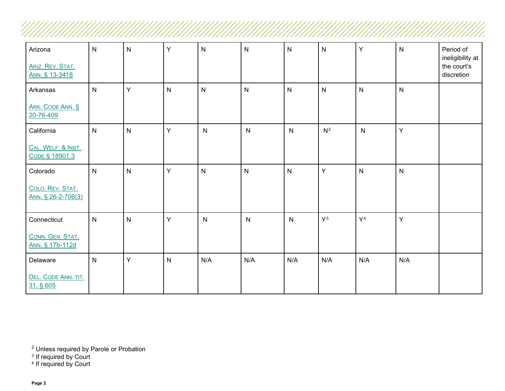| Arizona<br>ARIZ. REV. STAT.<br>ANN. § 13-3418 | $\mathsf{N}$ | $\mathsf{N}$ | Y            | ${\sf N}$    | $\mathsf{N}$ | $\mathsf{N}$ | ${\sf N}$    | Y              | $\mathsf{N}$ | Period of<br>ineligibility at<br>the court's<br>discretion |
|-----------------------------------------------|--------------|--------------|--------------|--------------|--------------|--------------|--------------|----------------|--------------|------------------------------------------------------------|
| Arkansas                                      | $\mathsf{N}$ | Y            | $\mathsf{N}$ | N            | $\mathsf{N}$ | $\mathsf{N}$ | $\mathsf{N}$ | $\mathsf{N}$   | $\mathsf{N}$ |                                                            |
| ARK. CODE ANN. §<br>20-76-409                 |              |              |              |              |              |              |              |                |              |                                                            |
| California                                    | $\mathsf{N}$ | ${\sf N}$    | Y            | $\mathsf{N}$ | $\mathsf{N}$ | $\mathsf{N}$ | $N^2$        | N              | Y            |                                                            |
| CAL. WELF. & INST.<br>CODE § 18901.3          |              |              |              |              |              |              |              |                |              |                                                            |
| Colorado                                      | $\mathsf{N}$ | ${\sf N}$    | Y            | N            | $\mathsf{N}$ | $\mathsf{N}$ | Y            | $\mathsf{N}$   | $\mathsf{N}$ |                                                            |
| COLO. REV. STAT.<br>ANN. § 26-2-706(3)        |              |              |              |              |              |              |              |                |              |                                                            |
| Connecticut                                   | $\mathsf{N}$ | $\mathsf{N}$ | Y            | ${\sf N}$    | N            | $\mathsf{N}$ | $Y^3$        | Y <sup>4</sup> | Υ            |                                                            |
| CONN. GEN. STAT.<br>ANN. § 17b-112d           |              |              |              |              |              |              |              |                |              |                                                            |
| Delaware                                      | $\mathsf{N}$ | Y            | $\mathsf{N}$ | N/A          | N/A          | N/A          | N/A          | N/A            | N/A          |                                                            |
| DEL. CODE ANN. TIT.<br>31, § 605              |              |              |              |              |              |              |              |                |              |                                                            |

<sup>3</sup> If required by Court

<span id="page-1-2"></span><span id="page-1-1"></span><span id="page-1-0"></span>'//

 $2$  Unless required by Parole or Probation

<sup>4</sup> If required by Court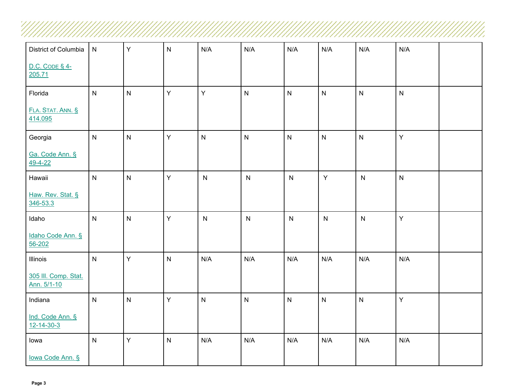| District of Columbia                   | ${\sf N}$      | $\mathsf{Y}$   | ${\sf N}$    | N/A                     | N/A       | N/A                     | N/A       | N/A          | N/A          |  |
|----------------------------------------|----------------|----------------|--------------|-------------------------|-----------|-------------------------|-----------|--------------|--------------|--|
| $D.C. CODE § 4-$<br>205.71             |                |                |              |                         |           |                         |           |              |              |  |
| Florida                                | $\mathsf{N}$   | $\mathsf{N}$   | $\mathsf Y$  | Y                       | N         | N                       | ${\sf N}$ | $\mathsf{N}$ | $\mathsf{N}$ |  |
| FLA. STAT. ANN. §<br>414.095           |                |                |              |                         |           |                         |           |              |              |  |
| Georgia                                | $\mathsf{N}$   | $\mathsf{N}$   | $\mathsf Y$  | ${\sf N}$               | N         | N                       | ${\sf N}$ | $\mathsf{N}$ | Y            |  |
| Ga. Code Ann. §<br>$49 - 4 - 22$       |                |                |              |                         |           |                         |           |              |              |  |
| Hawaii                                 | $\mathsf{N}$   | $\mathsf{N}$   | $\mathsf Y$  | $\mathsf{N}$            | ${\sf N}$ | ${\sf N}$               | Y         | $\mathsf{N}$ | $\mathsf{N}$ |  |
| Haw. Rev. Stat. §<br>346-53.3          |                |                |              |                         |           |                         |           |              |              |  |
| Idaho                                  | $\mathsf{N}$   | N              | $\mathsf{Y}$ | ${\sf N}$               | ${\sf N}$ | ${\sf N}$               | ${\sf N}$ | $\mathsf{N}$ | $\mathsf{Y}$ |  |
| Idaho Code Ann. §<br>56-202            |                |                |              |                         |           |                         |           |              |              |  |
| Illinois                               | $\overline{N}$ | Y              | $\mathsf{N}$ | N/A                     | N/A       | N/A                     | N/A       | N/A          | N/A          |  |
| 305 III. Comp. Stat.<br>Ann. 5/1-10    |                |                |              |                         |           |                         |           |              |              |  |
| Indiana                                | $\mathsf{N}$   | $\overline{N}$ | $\mathsf Y$  | $\overline{\mathsf{N}}$ | N         | $\overline{\mathsf{N}}$ | ${\sf N}$ | $\mathsf{N}$ | $\mathsf{Y}$ |  |
| Ind. Code Ann. §<br>$12 - 14 - 30 - 3$ |                |                |              |                         |           |                         |           |              |              |  |
| lowa                                   | $\mathsf{N}$   | Y              | $\mathsf{N}$ | N/A                     | N/A       | N/A                     | N/A       | N/A          | N/A          |  |
| lowa Code Ann. §                       |                |                |              |                         |           |                         |           |              |              |  |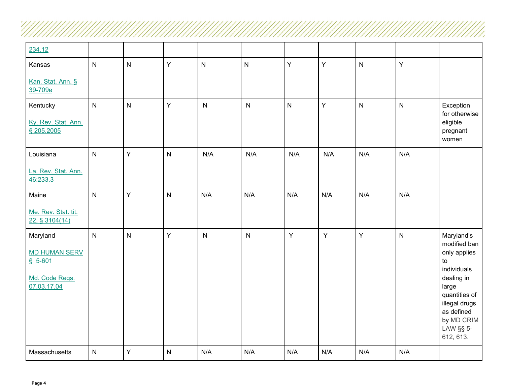| 234.12                                                                        |              |                         |                |                         |                         |     |     |              |                         |                                                                                                                                                                                |
|-------------------------------------------------------------------------------|--------------|-------------------------|----------------|-------------------------|-------------------------|-----|-----|--------------|-------------------------|--------------------------------------------------------------------------------------------------------------------------------------------------------------------------------|
| Kansas                                                                        | $\mathsf{N}$ | $\overline{\mathsf{N}}$ | Y              | $\overline{\mathsf{N}}$ | $\mathsf{N}$            | Ÿ   | Y   | $\mathsf{N}$ | Y                       |                                                                                                                                                                                |
| Kan. Stat. Ann. §<br>39-709e                                                  |              |                         |                |                         |                         |     |     |              |                         |                                                                                                                                                                                |
| Kentucky<br>Ky. Rev. Stat. Ann.<br>§ 205.2005                                 | $\mathsf{N}$ | ${\sf N}$               | Y              | $\mathsf{N}$            | $\mathsf{N}$            | N   | Y   | $\mathsf{N}$ | $\overline{\mathsf{N}}$ | Exception<br>for otherwise<br>eligible<br>pregnant<br>women                                                                                                                    |
| Louisiana                                                                     | $\mathsf{N}$ | Y                       | $\overline{N}$ | N/A                     | N/A                     | N/A | N/A | N/A          | N/A                     |                                                                                                                                                                                |
| La. Rev. Stat. Ann.<br>46:233.3                                               |              |                         |                |                         |                         |     |     |              |                         |                                                                                                                                                                                |
| Maine                                                                         | $\mathsf{N}$ | Y                       | $\overline{N}$ | N/A                     | N/A                     | N/A | N/A | N/A          | N/A                     |                                                                                                                                                                                |
| Me. Rev. Stat. tit.<br>22, § 3104(14)                                         |              |                         |                |                         |                         |     |     |              |                         |                                                                                                                                                                                |
| Maryland<br><b>MD HUMAN SERV</b><br>$$5-601$<br>Md. Code Regs.<br>07.03.17.04 | $\mathsf{N}$ | N                       | Y              | $\mathsf{N}$            | $\overline{\mathsf{N}}$ | Υ   | Y   | Y            | $\overline{\mathsf{N}}$ | Maryland's<br>modified ban<br>only applies<br>to<br>individuals<br>dealing in<br>large<br>quantities of<br>illegal drugs<br>as defined<br>by MD CRIM<br>LAW §§ 5-<br>612, 613. |
| Massachusetts                                                                 | ${\sf N}$    | Υ                       | $\mathsf{N}$   | N/A                     | N/A                     | N/A | N/A | N/A          | N/A                     |                                                                                                                                                                                |

///.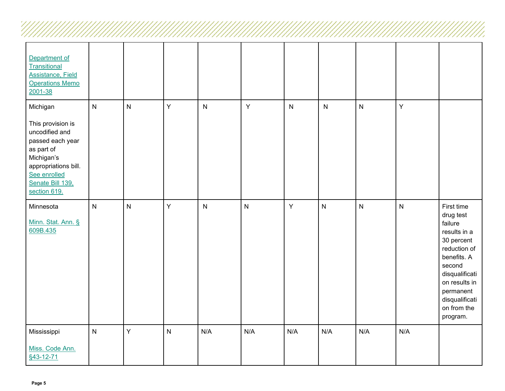| Department of<br>Transitional<br><b>Assistance, Field</b><br><b>Operations Memo</b><br>2001-38                                                                              |              |                         |                         |              |              |              |                         |              |           |                                                                                                                                                                                                        |
|-----------------------------------------------------------------------------------------------------------------------------------------------------------------------------|--------------|-------------------------|-------------------------|--------------|--------------|--------------|-------------------------|--------------|-----------|--------------------------------------------------------------------------------------------------------------------------------------------------------------------------------------------------------|
| Michigan<br>This provision is<br>uncodified and<br>passed each year<br>as part of<br>Michigan's<br>appropriations bill.<br>See enrolled<br>Senate Bill 139,<br>section 619. | $\mathsf{N}$ | $\mathsf{N}$            | Y                       | $\mathsf{N}$ | $\mathsf{Y}$ | $\mathsf{N}$ | ${\sf N}$               | $\mathsf{N}$ | Y         |                                                                                                                                                                                                        |
| Minnesota<br>Minn. Stat. Ann. §<br>609B.435                                                                                                                                 | $\mathsf{N}$ | $\overline{\mathsf{N}}$ | Υ                       | $\mathsf{N}$ | ${\sf N}$    | $\mathsf Y$  | $\overline{\mathsf{N}}$ | $\mathsf{N}$ | ${\sf N}$ | First time<br>drug test<br>failure<br>results in a<br>30 percent<br>reduction of<br>benefits. A<br>second<br>disqualificati<br>on results in<br>permanent<br>disqualificati<br>on from the<br>program. |
| Mississippi<br>Miss. Code Ann.<br>§43-12-71                                                                                                                                 | $\mathsf{N}$ | Y                       | $\overline{\mathsf{N}}$ | N/A          | N/A          | N/A          | N/A                     | N/A          | N/A       |                                                                                                                                                                                                        |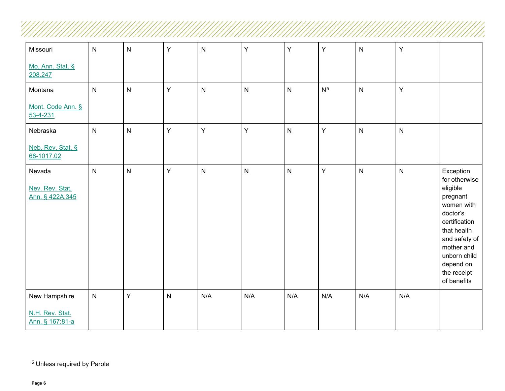| Missouri                                     | ${\sf N}$               | ${\sf N}$               | Y                       | ${\sf N}$    | Y            | Υ                       | Y              | ${\sf N}$    | Υ            |                                                                                                                                                                                                        |
|----------------------------------------------|-------------------------|-------------------------|-------------------------|--------------|--------------|-------------------------|----------------|--------------|--------------|--------------------------------------------------------------------------------------------------------------------------------------------------------------------------------------------------------|
| Mo. Ann. Stat. §<br>208.247                  |                         |                         |                         |              |              |                         |                |              |              |                                                                                                                                                                                                        |
| Montana                                      | $\mathsf{N}$            | $\overline{\mathsf{N}}$ | Y                       | $\mathsf{N}$ | ${\sf N}$    | ${\sf N}$               | N <sup>5</sup> | $\mathsf{N}$ | Y            |                                                                                                                                                                                                        |
| Mont. Code Ann. §<br>$53 - 4 - 231$          |                         |                         |                         |              |              |                         |                |              |              |                                                                                                                                                                                                        |
| Nebraska                                     | $\mathsf{N}$            | $\overline{\mathsf{N}}$ | Y                       | Y            | Y            | $\overline{\mathsf{N}}$ | $\mathsf Y$    | $\mathsf{N}$ | $\mathsf{N}$ |                                                                                                                                                                                                        |
| Neb. Rev. Stat. §<br>68-1017.02              |                         |                         |                         |              |              |                         |                |              |              |                                                                                                                                                                                                        |
| Nevada<br>Nev. Rev. Stat.<br>Ann. § 422A.345 | $\overline{N}$          | $\overline{\mathsf{N}}$ | Y                       | $\mathsf{N}$ | $\mathsf{N}$ | $\overline{\mathsf{N}}$ | Ÿ              | $\mathsf{N}$ | $\mathsf{N}$ | Exception<br>for otherwise<br>eligible<br>pregnant<br>women with<br>doctor's<br>certification<br>that health<br>and safety of<br>mother and<br>unborn child<br>depend on<br>the receipt<br>of benefits |
| New Hampshire                                | $\overline{\mathsf{N}}$ | Y                       | $\overline{\mathsf{N}}$ | N/A          | N/A          | N/A                     | N/A            | N/A          | N/A          |                                                                                                                                                                                                        |
| N.H. Rev. Stat.<br>Ann. § 167:81-a           |                         |                         |                         |              |              |                         |                |              |              |                                                                                                                                                                                                        |

<span id="page-5-0"></span> $\frac{1}{2}$ 

<u>TIMININININININININININININI</u>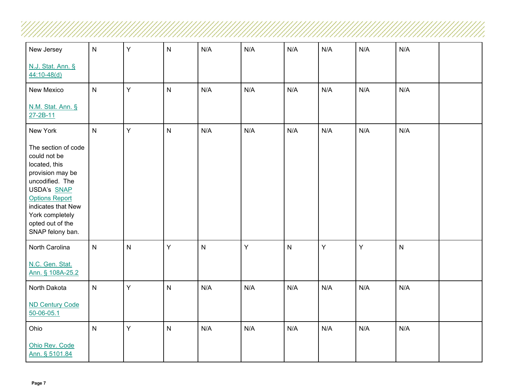| New Jersey                                                                                                                                                                                                           | $\mathsf{N}$            | Y | N                       | N/A       | N/A | N/A          | N/A | N/A | N/A          |  |
|----------------------------------------------------------------------------------------------------------------------------------------------------------------------------------------------------------------------|-------------------------|---|-------------------------|-----------|-----|--------------|-----|-----|--------------|--|
| N.J. Stat. Ann. §<br>$44:10-48(d)$                                                                                                                                                                                   |                         |   |                         |           |     |              |     |     |              |  |
| New Mexico                                                                                                                                                                                                           | ${\sf N}$               | Y | $\overline{\mathsf{N}}$ | N/A       | N/A | N/A          | N/A | N/A | N/A          |  |
| N.M. Stat. Ann. §<br>27-2B-11                                                                                                                                                                                        |                         |   |                         |           |     |              |     |     |              |  |
| New York                                                                                                                                                                                                             | $\overline{\mathsf{N}}$ | Y | $\overline{\mathsf{N}}$ | N/A       | N/A | N/A          | N/A | N/A | N/A          |  |
| The section of code<br>could not be<br>located, this<br>provision may be<br>uncodified. The<br>USDA's SNAP<br><b>Options Report</b><br>indicates that New<br>York completely<br>opted out of the<br>SNAP felony ban. |                         |   |                         |           |     |              |     |     |              |  |
| North Carolina                                                                                                                                                                                                       | $\overline{N}$          | N | Y                       | ${\sf N}$ | Y   | $\mathsf{N}$ | Y   | Y   | $\mathsf{N}$ |  |
| N.C. Gen. Stat.<br>Ann. § 108A-25.2                                                                                                                                                                                  |                         |   |                         |           |     |              |     |     |              |  |
| North Dakota                                                                                                                                                                                                         | $\overline{\mathsf{N}}$ | Y | $\overline{\mathsf{N}}$ | N/A       | N/A | N/A          | N/A | N/A | N/A          |  |
| <b>ND Century Code</b><br>50-06-05.1                                                                                                                                                                                 |                         |   |                         |           |     |              |     |     |              |  |
| Ohio                                                                                                                                                                                                                 | $\mathsf{N}$            | Υ | N                       | N/A       | N/A | N/A          | N/A | N/A | N/A          |  |
| Ohio Rev. Code<br>Ann. § 5101.84                                                                                                                                                                                     |                         |   |                         |           |     |              |     |     |              |  |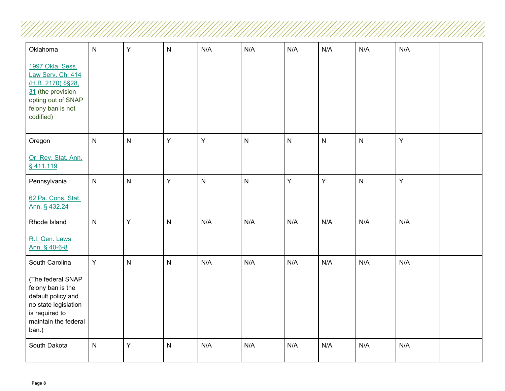| Oklahoma                                                                                                                                | $\overline{N}$          | Y                       | N                       | N/A          | N/A       | N/A          | N/A                     | N/A          | N/A |  |
|-----------------------------------------------------------------------------------------------------------------------------------------|-------------------------|-------------------------|-------------------------|--------------|-----------|--------------|-------------------------|--------------|-----|--|
| 1997 Okla. Sess.<br>Law Serv. Ch. 414<br>(H.B. 2170) §§28,<br>31 (the provision<br>opting out of SNAP<br>felony ban is not<br>codified) |                         |                         |                         |              |           |              |                         |              |     |  |
| Oregon                                                                                                                                  | $\mathsf{N}$            | $\overline{\mathsf{N}}$ | Y                       | $\mathsf{Y}$ | ${\sf N}$ | $\mathsf{N}$ | $\overline{\mathsf{N}}$ | $\mathsf{N}$ | Y   |  |
| Or. Rev. Stat. Ann.<br>§411.119                                                                                                         |                         |                         |                         |              |           |              |                         |              |     |  |
| Pennsylvania                                                                                                                            | $\overline{\mathsf{N}}$ | $\mathsf{N}$            | Υ                       | ${\sf N}$    | ${\sf N}$ | Y            | Y                       | $\mathsf{N}$ | Y   |  |
| 62 Pa. Cons. Stat.<br>Ann. § 432.24                                                                                                     |                         |                         |                         |              |           |              |                         |              |     |  |
| Rhode Island                                                                                                                            | $\mathsf{N}$            | Y                       | $\overline{\mathsf{N}}$ | N/A          | N/A       | N/A          | N/A                     | N/A          | N/A |  |
| R.I. Gen. Laws<br>Ann. § 40-6-8                                                                                                         |                         |                         |                         |              |           |              |                         |              |     |  |
| South Carolina                                                                                                                          | Y                       | N                       | $\overline{\mathsf{N}}$ | N/A          | N/A       | N/A          | N/A                     | N/A          | N/A |  |
| (The federal SNAP<br>felony ban is the<br>default policy and<br>no state legislation<br>is required to<br>maintain the federal<br>ban.) |                         |                         |                         |              |           |              |                         |              |     |  |
| South Dakota                                                                                                                            | $\mathsf{N}$            | Y                       | $\overline{\mathsf{N}}$ | N/A          | N/A       | N/A          | N/A                     | N/A          | N/A |  |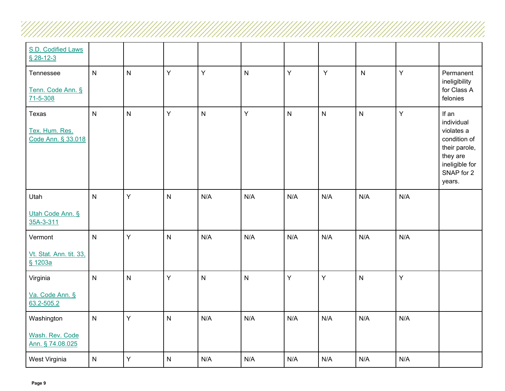| S.D. Codified Laws<br>$$28-12-3$              |                         |                |   |              |              |              |                |                         |              |                                                                                                                          |
|-----------------------------------------------|-------------------------|----------------|---|--------------|--------------|--------------|----------------|-------------------------|--------------|--------------------------------------------------------------------------------------------------------------------------|
| Tennessee<br>Tenn. Code Ann. §<br>71-5-308    | $\mathsf{N}$            | $\overline{N}$ | Y | Y            | $\mathsf{N}$ | Y            | Y              | $\mathsf{N}$            | $\mathsf Y$  | Permanent<br>ineligibility<br>for Class A<br>felonies                                                                    |
| Texas<br>Tex. Hum. Res.<br>Code Ann. § 33.018 | $\overline{N}$          | $\mathsf{N}$   | Y | $\mathsf{N}$ | Y            | $\mathsf{N}$ | $\overline{N}$ | $\overline{\mathsf{N}}$ | $\mathsf{Y}$ | If an<br>individual<br>violates a<br>condition of<br>their parole,<br>they are<br>ineligible for<br>SNAP for 2<br>years. |
| Utah                                          | $\mathsf{N}$            | Y              | N | N/A          | N/A          | N/A          | N/A            | N/A                     | N/A          |                                                                                                                          |
| Utah Code Ann. §<br>35A-3-311                 |                         |                |   |              |              |              |                |                         |              |                                                                                                                          |
| Vermont                                       | $\overline{\mathsf{N}}$ | Y              | N | N/A          | N/A          | N/A          | N/A            | N/A                     | N/A          |                                                                                                                          |
| Vt. Stat. Ann. tit. 33,<br>§ 1203a            |                         |                |   |              |              |              |                |                         |              |                                                                                                                          |
| Virginia                                      | ${\sf N}$               | $\mathsf{N}$   | Y | $\mathsf{N}$ | ${\sf N}$    | Y            | Y              | $\mathsf{N}$            | Y            |                                                                                                                          |
| Va. Code Ann. §<br>63.2-505.2                 |                         |                |   |              |              |              |                |                         |              |                                                                                                                          |
| Washington                                    | $\mathsf{N}$            | $\mathsf{Y}$   | N | N/A          | N/A          | N/A          | N/A            | N/A                     | N/A          |                                                                                                                          |
| Wash. Rev. Code<br>Ann. § 74.08.025           |                         |                |   |              |              |              |                |                         |              |                                                                                                                          |
| West Virginia                                 | $\overline{N}$          | Y              | N | N/A          | N/A          | N/A          | N/A            | N/A                     | N/A          |                                                                                                                          |

!//,